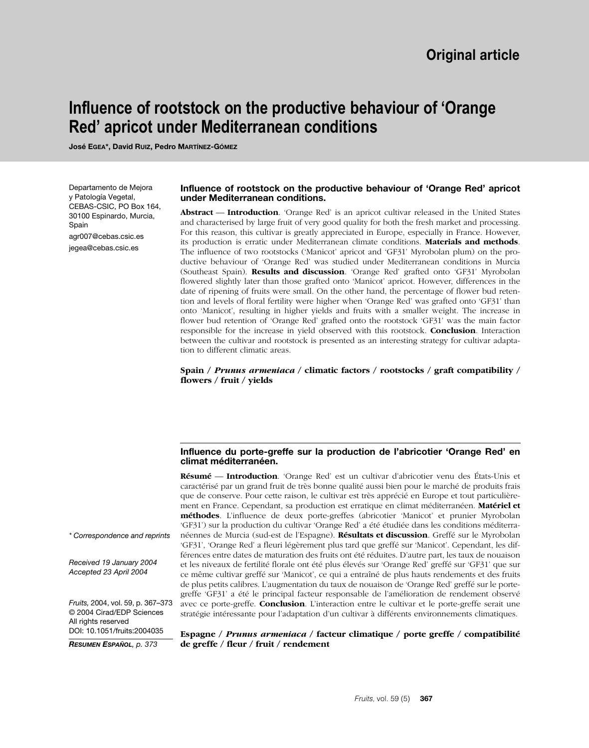# **Influence of rootstock on the productive behaviour of 'Orange Red' apricot under Mediterranean conditions**

**José EGEA\*, David RUIZ, Pedro MARTÍNEZ-GÓMEZ**

Departamento de Mejora y Patología Vegetal, CEBAS-CSIC, PO Box 164, 30100 Espinardo, Murcia, Spain agr007@cebas.csic.es jegea@cebas.csic.es

#### **Influence of rootstock on the productive behaviour of 'Orange Red' apricot under Mediterranean conditions.**

**Abstract** –– **Introduction**. 'Orange Red' is an apricot cultivar released in the United States and characterised by large fruit of very good quality for both the fresh market and processing. For this reason, this cultivar is greatly appreciated in Europe, especially in France. However, its production is erratic under Mediterranean climate conditions. **Materials and methods**. The influence of two rootstocks ('Manicot' apricot and 'GF31' Myrobolan plum) on the productive behaviour of 'Orange Red' was studied under Mediterranean conditions in Murcia (Southeast Spain). **Results and discussion**. 'Orange Red' grafted onto 'GF31' Myrobolan flowered slightly later than those grafted onto 'Manicot' apricot. However, differences in the date of ripening of fruits were small. On the other hand, the percentage of flower bud retention and levels of floral fertility were higher when 'Orange Red' was grafted onto 'GF31' than onto 'Manicot', resulting in higher yields and fruits with a smaller weight. The increase in flower bud retention of 'Orange Red' grafted onto the rootstock 'GF31' was the main factor responsible for the increase in yield observed with this rootstock. **Conclusion**. Interaction between the cultivar and rootstock is presented as an interesting strategy for cultivar adaptation to different climatic areas.

#### **Spain /** *Prunus armeniaca* **/ climatic factors / rootstocks / graft compatibility / flowers / fruit / yields**

#### **Influence du porte-greffe sur la production de l'abricotier 'Orange Red' en climat méditerranéen.**

**Résumé** –– **Introduction**. 'Orange Red' est un cultivar d'abricotier venu des États-Unis et caractérisé par un grand fruit de très bonne qualité aussi bien pour le marché de produits frais que de conserve. Pour cette raison, le cultivar est très apprécié en Europe et tout particulièrement en France. Cependant, sa production est erratique en climat méditerranéen. **Matériel et méthodes**. L'influence de deux porte-greffes (abricotier 'Manicot' et prunier Myrobolan 'GF31') sur la production du cultivar 'Orange Red' a été étudiée dans les conditions méditerranéennes de Murcia (sud-est de l'Espagne). **Résultats et discussion**. Greffé sur le Myrobolan 'GF31', 'Orange Red' a fleuri légèrement plus tard que greffé sur 'Manicot'. Cependant, les différences entre dates de maturation des fruits ont été réduites. D'autre part, les taux de nouaison et les niveaux de fertilité florale ont été plus élevés sur 'Orange Red' greffé sur 'GF31' que sur ce même cultivar greffé sur 'Manicot', ce qui a entraîné de plus hauts rendements et des fruits de plus petits calibres. L'augmentation du taux de nouaison de 'Orange Red' greffé sur le portegreffe 'GF31' a été le principal facteur responsable de l'amélioration de rendement observé avec ce porte-greffe. **Conclusion**. L'interaction entre le cultivar et le porte-greffe serait une stratégie intéressante pour l'adaptation d'un cultivar à différents environnements climatiques.

*\* Correspondence and reprints*

*Received 19 January 2004 Accepted 23 April 2004*

*Fruits,* 2004, vol. 59, p. 367–373 © 2004 Cirad/EDP Sciences All rights reserved DOI: 10.1051/fruits:2004035

*RESUMEN ESPAÑOL, p. 373*

**Espagne /** *Prunus armeniaca* **/ facteur climatique / porte greffe / compatibilité de greffe / fleur / fruit / rendement**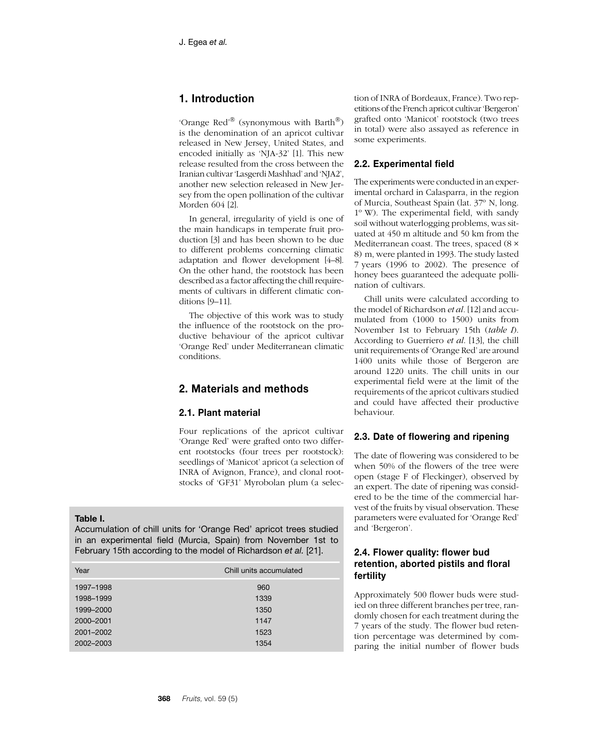# **1. Introduction**

'Orange Red'® (synonymous with Barth®) is the denomination of an apricot cultivar released in New Jersey, United States, and encoded initially as 'NJA-32' [1]. This new release resulted from the cross between the Iranian cultivar 'Lasgerdi Mashhad' and 'NJA2', another new selection released in New Jersey from the open pollination of the cultivar Morden 604 [2].

In general, irregularity of yield is one of the main handicaps in temperate fruit production [3] and has been shown to be due to different problems concerning climatic adaptation and flower development [4–8]. On the other hand, the rootstock has been described as a factor affecting the chill requirements of cultivars in different climatic conditions [9–11].

The objective of this work was to study the influence of the rootstock on the productive behaviour of the apricot cultivar 'Orange Red' under Mediterranean climatic conditions.

# **2. Materials and methods**

## **2.1. Plant material**

Four replications of the apricot cultivar 'Orange Red' were grafted onto two different rootstocks (four trees per rootstock): seedlings of 'Manicot' apricot (a selection of INRA of Avignon, France), and clonal rootstocks of 'GF31' Myrobolan plum (a selec-

#### **Table I.**

Accumulation of chill units for 'Orange Red' apricot trees studied in an experimental field (Murcia, Spain) from November 1st to February 15th according to the model of Richardson *et al.* [21].

| Year      | Chill units accumulated |
|-----------|-------------------------|
| 1997-1998 | 960                     |
| 1998-1999 | 1339                    |
| 1999-2000 | 1350                    |
| 2000-2001 | 1147                    |
| 2001-2002 | 1523                    |
| 2002-2003 | 1354                    |

tion of INRA of Bordeaux, France). Two repetitions of the French apricot cultivar 'Bergeron' grafted onto 'Manicot' rootstock (two trees in total) were also assayed as reference in some experiments.

#### **2.2. Experimental field**

The experiments were conducted in an experimental orchard in Calasparra, in the region of Murcia, Southeast Spain (lat. 37º N, long. 1º W). The experimental field, with sandy soil without waterlogging problems, was situated at 450 m altitude and 50 km from the Mediterranean coast. The trees, spaced (8 × 8) m, were planted in 1993. The study lasted 7 years (1996 to 2002). The presence of honey bees guaranteed the adequate pollination of cultivars.

Chill units were calculated according to the model of Richardson *et al.* [12] and accumulated from (1000 to 1500) units from November 1st to February 15th (*table I*). According to Guerriero *et al*. [13], the chill unit requirements of 'Orange Red' are around 1400 units while those of Bergeron are around 1220 units. The chill units in our experimental field were at the limit of the requirements of the apricot cultivars studied and could have affected their productive behaviour.

# **2.3. Date of flowering and ripening**

The date of flowering was considered to be when 50% of the flowers of the tree were open (stage F of Fleckinger), observed by an expert. The date of ripening was considered to be the time of the commercial harvest of the fruits by visual observation. These parameters were evaluated for 'Orange Red' and 'Bergeron'.

## **2.4. Flower quality: flower bud retention, aborted pistils and floral fertility**

Approximately 500 flower buds were studied on three different branches per tree, randomly chosen for each treatment during the 7 years of the study. The flower bud retention percentage was determined by comparing the initial number of flower buds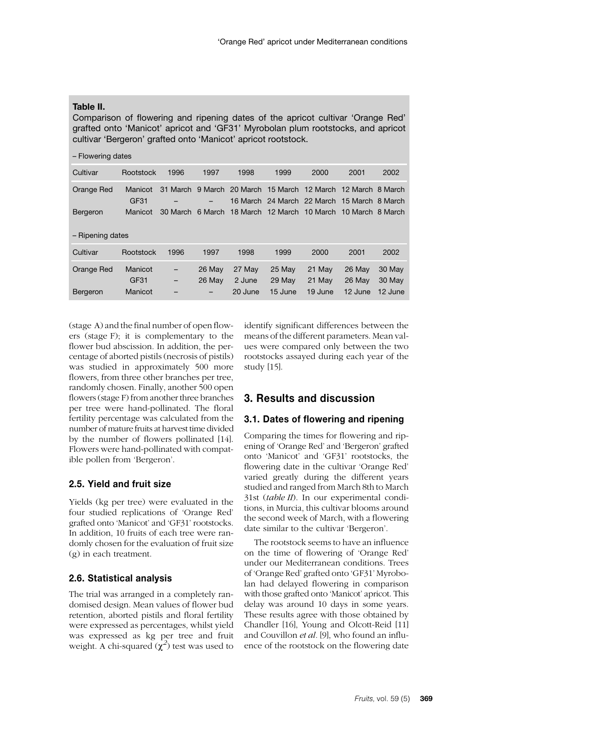#### **Table II.**

Comparison of flowering and ripening dates of the apricot cultivar 'Orange Red' grafted onto 'Manicot' apricot and 'GF31' Myrobolan plum rootstocks, and apricot cultivar 'Bergeron' grafted onto 'Manicot' apricot rootstock.

| - Flowering dates |                 |          |         |                   |                                                                                                             |                   |                   |                   |
|-------------------|-----------------|----------|---------|-------------------|-------------------------------------------------------------------------------------------------------------|-------------------|-------------------|-------------------|
| Cultivar          | Rootstock       | 1996     | 1997    | 1998              | 1999                                                                                                        | 2000              | 2001              | 2002              |
| Orange Red        | Manicot<br>GF31 |          |         |                   | 31 March 9 March 20 March 15 March 12 March 12 March 8 March<br>16 March 24 March 22 March 15 March 8 March |                   |                   |                   |
| Bergeron          | Manicot         | 30 March | 6 March |                   | 18 March 12 March 10 March 10 March 8 March                                                                 |                   |                   |                   |
| - Ripening dates  |                 |          |         |                   |                                                                                                             |                   |                   |                   |
| Cultivar          | Rootstock       | 1996     | 1997    | 1998              | 1999                                                                                                        | 2000              | 2001              | 2002              |
| Orange Red        | Manicot         |          | 26 May  | 27 May            | 25 May                                                                                                      | 21 May            | 26 May            | 30 May            |
| Bergeron          | GF31<br>Manicot | -        | 26 May  | 2 June<br>20 June | 29 May<br>15 June                                                                                           | 21 May<br>19 June | 26 May<br>12 June | 30 May<br>12 June |

(stage A) and the final number of open flowers (stage F); it is complementary to the flower bud abscission. In addition, the percentage of aborted pistils (necrosis of pistils) was studied in approximately 500 more flowers, from three other branches per tree, randomly chosen. Finally, another 500 open flowers (stage F) from another three branches per tree were hand-pollinated. The floral fertility percentage was calculated from the number of mature fruits at harvest time divided by the number of flowers pollinated [14]. Flowers were hand-pollinated with compatible pollen from 'Bergeron'.

## **2.5. Yield and fruit size**

Yields (kg per tree) were evaluated in the four studied replications of 'Orange Red' grafted onto 'Manicot' and 'GF31' rootstocks. In addition, 10 fruits of each tree were randomly chosen for the evaluation of fruit size (g) in each treatment.

#### **2.6. Statistical analysis**

The trial was arranged in a completely randomised design. Mean values of flower bud retention, aborted pistils and floral fertility were expressed as percentages, whilst yield was expressed as kg per tree and fruit weight. A chi-squared  $(\chi^2)$  test was used to

identify significant differences between the means of the different parameters. Mean values were compared only between the two rootstocks assayed during each year of the study [15].

## **3. Results and discussion**

## **3.1. Dates of flowering and ripening**

Comparing the times for flowering and ripening of 'Orange Red' and 'Bergeron' grafted onto 'Manicot' and 'GF31' rootstocks, the flowering date in the cultivar 'Orange Red' varied greatly during the different years studied and ranged from March 8th to March 31st (*table II*). In our experimental conditions, in Murcia, this cultivar blooms around the second week of March, with a flowering date similar to the cultivar 'Bergeron'.

The rootstock seems to have an influence on the time of flowering of 'Orange Red' under our Mediterranean conditions. Trees of 'Orange Red' grafted onto 'GF31' Myrobolan had delayed flowering in comparison with those grafted onto 'Manicot' apricot. This delay was around 10 days in some years. These results agree with those obtained by Chandler [16], Young and Olcott-Reid [11] and Couvillon *et al.* [9], who found an influence of the rootstock on the flowering date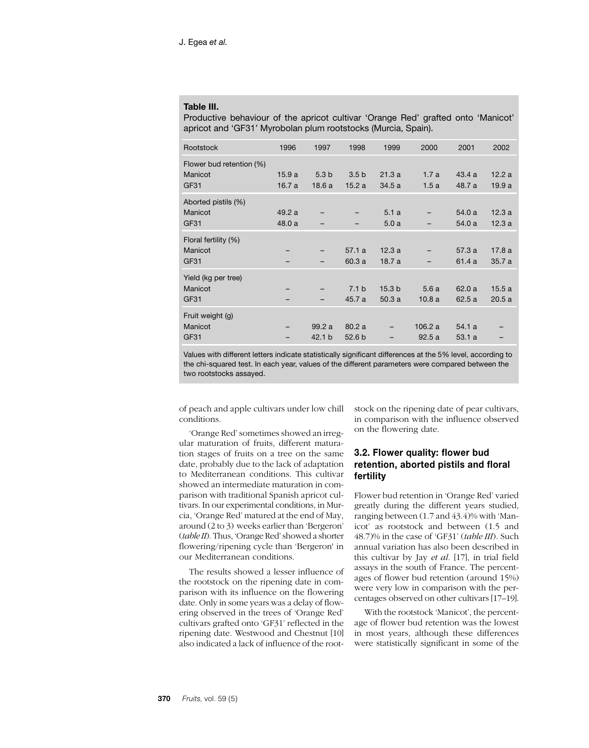#### **Table III.**

Productive behaviour of the apricot cultivar 'Orange Red' grafted onto 'Manicot' apricot and 'GF31' Myrobolan plum rootstocks (Murcia, Spain).

| Rootstock                           | 1996  | 1997              | 1998              | 1999              | 2000    | 2001   | 2002  |
|-------------------------------------|-------|-------------------|-------------------|-------------------|---------|--------|-------|
| Flower bud retention (%)<br>Manicot | 15.9a | 5.3 <sub>b</sub>  | 3.5 <sub>b</sub>  | 21.3a             | 1.7a    | 43.4a  | 12.2a |
| GF31                                | 16.7a | 18.6a             | 15.2a             | 34.5a             | 1.5a    | 48.7 a | 19.9a |
| Aborted pistils (%)                 |       |                   |                   |                   |         |        |       |
| Manicot                             | 49.2a |                   |                   | 5.1a              |         | 54.0a  | 12.3a |
| GF31                                | 48.0a |                   |                   | 5.0a              |         | 54.0 a | 12.3a |
| Floral fertility (%)                |       |                   |                   |                   |         |        |       |
| Manicot                             |       | -                 | 57.1a             | 12.3a             |         | 57.3a  | 17.8a |
| GF31                                |       |                   | 60.3a             | 18.7 a            |         | 61.4 a | 35.7a |
| Yield (kg per tree)                 |       |                   |                   |                   |         |        |       |
| Manicot                             |       | -                 | 7.1 <sub>b</sub>  | 15.3 <sub>b</sub> | 5.6a    | 62.0a  | 15.5a |
| GF31                                |       |                   | 45.7 a            | 50.3a             | 10.8a   | 62.5a  | 20.5a |
| Fruit weight (g)                    |       |                   |                   |                   |         |        |       |
| Manicot                             |       | 99.2a             | 80.2a             |                   | 106.2 a | 54.1a  |       |
| GF31                                |       | 42.1 <sub>b</sub> | 52.6 <sub>b</sub> |                   | 92.5a   | 53.1a  |       |
|                                     |       |                   |                   |                   |         |        |       |

Values with different letters indicate statistically significant differences at the 5% level, according to the chi-squared test. In each year, values of the different parameters were compared between the two rootstocks assayed.

of peach and apple cultivars under low chill conditions.

'Orange Red' sometimes showed an irregular maturation of fruits, different maturation stages of fruits on a tree on the same date, probably due to the lack of adaptation to Mediterranean conditions. This cultivar showed an intermediate maturation in comparison with traditional Spanish apricot cultivars. In our experimental conditions, in Murcia, 'Orange Red' matured at the end of May, around (2 to 3) weeks earlier than 'Bergeron' (*table II*). Thus, 'Orange Red' showed a shorter flowering/ripening cycle than 'Bergeron' in our Mediterranean conditions.

The results showed a lesser influence of the rootstock on the ripening date in comparison with its influence on the flowering date. Only in some years was a delay of flowering observed in the trees of 'Orange Red' cultivars grafted onto 'GF31' reflected in the ripening date. Westwood and Chestnut [10] also indicated a lack of influence of the rootstock on the ripening date of pear cultivars, in comparison with the influence observed on the flowering date.

## **3.2. Flower quality: flower bud retention, aborted pistils and floral fertility**

Flower bud retention in 'Orange Red' varied greatly during the different years studied, ranging between (1.7 and 43.4)% with 'Manicot' as rootstock and between (1.5 and 48.7)% in the case of 'GF31' (*table III*). Such annual variation has also been described in this cultivar by Jay *et al.* [17], in trial field assays in the south of France. The percentages of flower bud retention (around 15%) were very low in comparison with the percentages observed on other cultivars [17–19].

With the rootstock 'Manicot', the percentage of flower bud retention was the lowest in most years, although these differences were statistically significant in some of the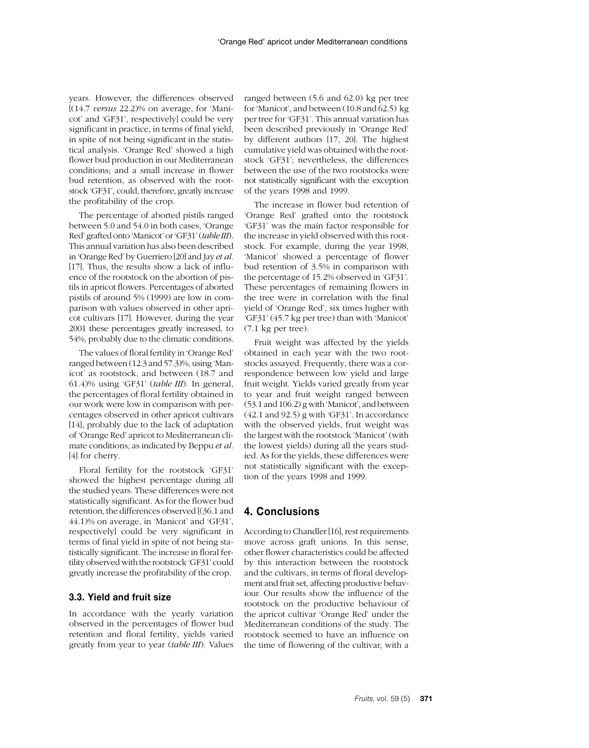years. However, the differences observed [(14.7 *versus* 22.2)% on average, for 'Manicot' and 'GF31', respectively] could be very significant in practice, in terms of final yield, in spite of not being significant in the statistical analysis. 'Orange Red' showed a high flower bud production in our Mediterranean conditions; and a small increase in flower bud retention, as observed with the rootstock 'GF31', could, therefore, greatly increase the profitability of the crop.

The percentage of aborted pistils ranged between 5.0 and 54.0 in both cases, 'Orange Red' grafted onto 'Manicot' or 'GF31' (*table III*). This annual variation has also been described in 'Orange Red' by Guerriero [20] and Jay *et al.* [17]. Thus, the results show a lack of influence of the rootstock on the abortion of pistils in apricot flowers. Percentages of aborted pistils of around 5% (1999) are low in comparison with values observed in other apricot cultivars [17]. However, during the year 2001 these percentages greatly increased, to 54%, probably due to the climatic conditions.

The values of floral fertility in 'Orange Red' ranged between (12.3 and 57.3)%, using 'Manicot' as rootstock, and between (18.7 and 61.4)% using 'GF31' (*table III*). In general, the percentages of floral fertility obtained in our work were low in comparison with percentages observed in other apricot cultivars [14], probably due to the lack of adaptation of 'Orange Red' apricot to Mediterranean climate conditions, as indicated by Beppu *et al.* [4] for cherry.

Floral fertility for the rootstock 'GF31' showed the highest percentage during all the studied years. These differences were not statistically significant. As for the flower bud retention, the differences observed [(36.1 and 44.1)% on average, in 'Manicot' and 'GF31', respectively] could be very significant in terms of final yield in spite of not being statistically significant. The increase in floral fertility observed with the rootstock 'GF31' could greatly increase the profitability of the crop.

## **3.3. Yield and fruit size**

In accordance with the yearly variation observed in the percentages of flower bud retention and floral fertility, yields varied greatly from year to year (*table III*). Values

ranged between (5.6 and 62.0) kg per tree for 'Manicot', and between (10.8 and 62.5) kg per tree for 'GF31'. This annual variation has been described previously in 'Orange Red' by different authors [17, 20]. The highest cumulative yield was obtained with the rootstock 'GF31'; nevertheless, the differences between the use of the two rootstocks were not statistically significant with the exception of the years 1998 and 1999.

The increase in flower bud retention of 'Orange Red' grafted onto the rootstock 'GF31' was the main factor responsible for the increase in yield observed with this rootstock. For example, during the year 1998, 'Manicot' showed a percentage of flower bud retention of 3.5% in comparison with the percentage of 15.2% observed in 'GF31'. These percentages of remaining flowers in the tree were in correlation with the final yield of 'Orange Red', six times higher with 'GF31' (45.7 kg per tree) than with 'Manicot' (7.1 kg per tree).

Fruit weight was affected by the yields obtained in each year with the two rootstocks assayed. Frequently, there was a correspondence between low yield and large fruit weight. Yields varied greatly from year to year and fruit weight ranged between (53.1 and 106.2) g with 'Manicot', and between (42.1 and 92.5) g with 'GF31'. In accordance with the observed yields, fruit weight was the largest with the rootstock 'Manicot' (with the lowest yields) during all the years studied. As for the yields, these differences were not statistically significant with the exception of the years 1998 and 1999.

## **4. Conclusions**

According to Chandler [16], rest requirements move across graft unions. In this sense, other flower characteristics could be affected by this interaction between the rootstock and the cultivars, in terms of floral development and fruit set, affecting productive behaviour. Our results show the influence of the rootstock on the productive behaviour of the apricot cultivar 'Orange Red' under the Mediterranean conditions of the study. The rootstock seemed to have an influence on the time of flowering of the cultivar, with a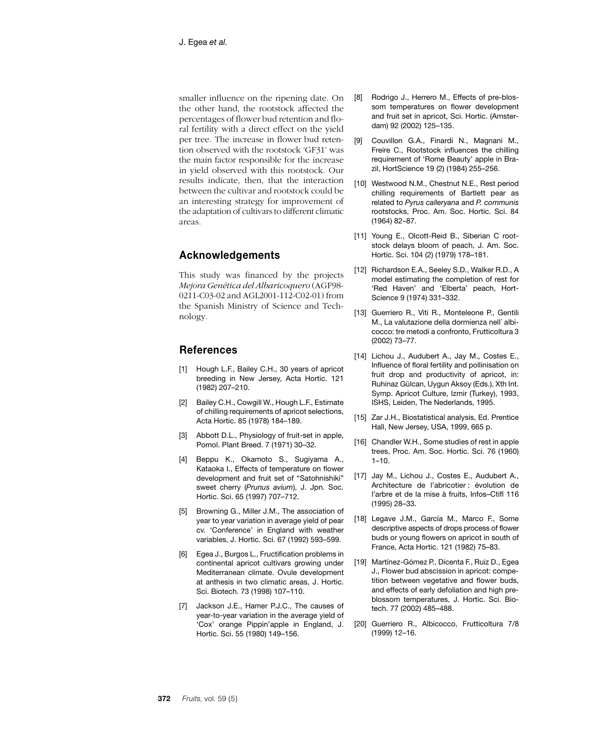smaller influence on the ripening date. On the other hand, the rootstock affected the percentages of flower bud retention and floral fertility with a direct effect on the yield per tree. The increase in flower bud retention observed with the rootstock 'GF31' was the main factor responsible for the increase in yield observed with this rootstock. Our results indicate, then, that the interaction between the cultivar and rootstock could be an interesting strategy for improvement of the adaptation of cultivars to different climatic areas.

# **Acknowledgements**

This study was financed by the projects *Mejora Genética del Albaricoquero* (AGF98- 0211-C03-02 and AGL2001-112-C02-01) from the Spanish Ministry of Science and Technology.

## **References**

- [1] Hough L.F., Bailey C.H., 30 years of apricot breeding in New Jersey, Acta Hortic. 121 (1982) 207–210.
- [2] Bailey C.H., Cowgill W., Hough L.F., Estimate of chilling requirements of apricot selections, Acta Hortic. 85 (1978) 184–189.
- [3] Abbott D.L., Physiology of fruit-set in apple, Pomol. Plant Breed. 7 (1971) 30–32.
- [4] Beppu K., Okamoto S., Sugiyama A., Kataoka I., Effects of temperature on flower development and fruit set of "Satohnishiki" sweet cherry (*Prunus avium*), J. Jpn. Soc. Hortic. Sci. 65 (1997) 707–712.
- [5] Browning G., Miller J.M., The association of year to year variation in average yield of pear cv. 'Conference' in England with weather variables, J. Hortic. Sci. 67 (1992) 593–599.
- [6] Egea J., Burgos L., Fructification problems in continental apricot cultivars growing under Mediterranean climate. Ovule development at anthesis in two climatic areas, J. Hortic. Sci. Biotech. 73 (1998) 107–110.
- [7] Jackson J.E., Hamer P.J.C., The causes of year-to-year variation in the average yield of 'Cox' orange Pippin'apple in England, J. Hortic. Sci. 55 (1980) 149–156.
- [8] Rodrigo J., Herrero M., Effects of pre-blossom temperatures on flower development and fruit set in apricot, Sci. Hortic. (Amsterdam) 92 (2002) 125–135.
- [9] Couvillon G.A., Finardi N., Magnani M., Freire C., Rootstock influences the chilling requirement of 'Rome Beauty' apple in Brazil, HortScience 19 (2) (1984) 255–256.
- [10] Westwood N.M., Chestnut N.E., Rest period chilling requirements of Bartlett pear as related to *Pyrus calleryana* and *P. communis* rootstocks, Proc. Am. Soc. Hortic. Sci. 84 (1964) 82–87.
- [11] Young E., Olcott-Reid B., Siberian C rootstock delays bloom of peach, J. Am. Soc. Hortic. Sci. 104 (2) (1979) 178–181.
- [12] Richardson E.A., Seeley S.D., Walker R.D., A model estimating the completion of rest for 'Red Haven' and 'Elberta' peach, Hort-Science 9 (1974) 331–332.
- [13] Guerriero R., Viti R., Monteleone P., Gentili M., La valutazione della dormienza nell´ albicocco: tre metodi a confronto, Frutticoltura 3 (2002) 73–77.
- [14] Lichou J., Audubert A., Jay M., Costes E., Influence of floral fertility and pollinisation on fruit drop and productivity of apricot, in: Ruhinaz Gülcan, Uygun Aksoy (Eds.), Xth Int. Symp. Apricot Culture, Izmir (Turkey), 1993, ISHS, Leiden, The Nederlands, 1995.
- [15] Zar J.H., Biostatistical analysis, Ed. Prentice Hall, New Jersey, USA, 1999, 665 p.
- [16] Chandler W.H., Some studies of rest in apple trees, Proc. Am. Soc. Hortic. Sci. 76 (1960)  $1 - 10$ .
- [17] Jay M., Lichou J., Costes E., Audubert A., Architecture de l'abricotier : évolution de l'arbre et de la mise à fruits, Infos–Ctifl 116 (1995) 28–33.
- [18] Legave J.M., García M., Marco F., Some descriptive aspects of drops process of flower buds or young flowers on apricot in south of France, Acta Hortic. 121 (1982) 75–83.
- [19] Martínez-Gómez P., Dicenta F., Ruiz D., Egea J., Flower bud abscission in apricot: competition between vegetative and flower buds, and effects of early defoliation and high preblossom temperatures, J. Hortic. Sci. Biotech. 77 (2002) 485–488.
- [20] Guerriero R., Albicocco, Frutticoltura 7/8 (1999) 12–16.